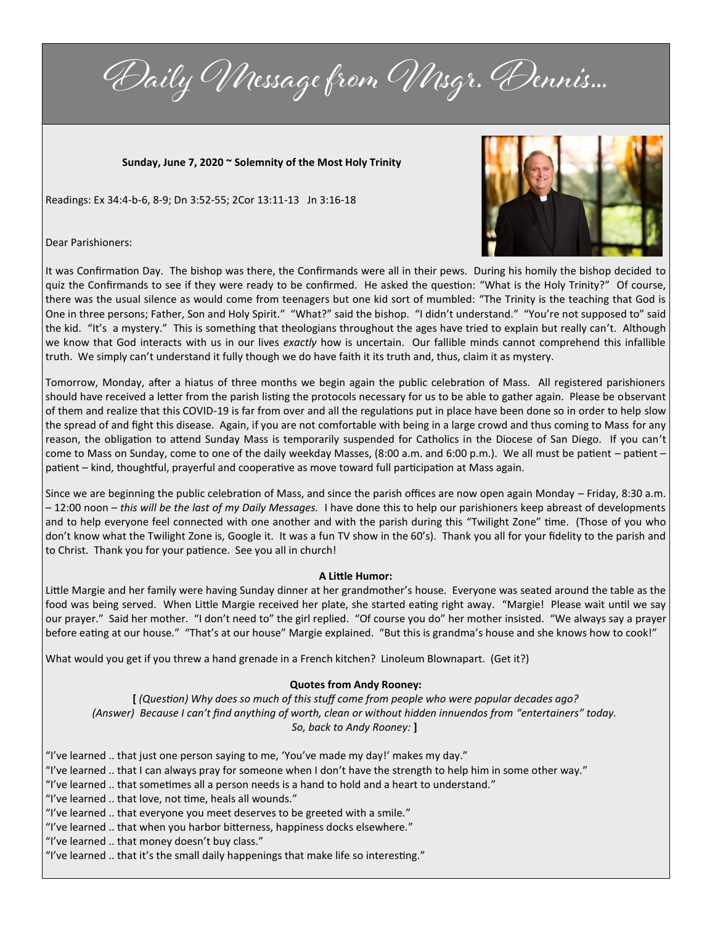Daily Message from Msgr. Dennis...

**Sunday, June 7, 2020 ~ Solemnity of the Most Holy Trinity**

Readings: Ex 34:4-b-6, 8-9; Dn 3:52-55; 2Cor 13:11-13 Jn 3:16-18

Dear Parishioners:



It was Confirmation Day. The bishop was there, the Confirmands were all in their pews. During his homily the bishop decided to quiz the Confirmands to see if they were ready to be confirmed. He asked the question: "What is the Holy Trinity?" Of course, there was the usual silence as would come from teenagers but one kid sort of mumbled: "The Trinity is the teaching that God is One in three persons; Father, Son and Holy Spirit." "What?" said the bishop. "I didn't understand." "You're not supposed to" said the kid. "It's a mystery." This is something that theologians throughout the ages have tried to explain but really can't. Although we know that God interacts with us in our lives *exactly* how is uncertain. Our fallible minds cannot comprehend this infallible truth. We simply can't understand it fully though we do have faith it its truth and, thus, claim it as mystery.

Tomorrow, Monday, after a hiatus of three months we begin again the public celebration of Mass. All registered parishioners should have received a letter from the parish listing the protocols necessary for us to be able to gather again. Please be observant of them and realize that this COVID-19 is far from over and all the regulations put in place have been done so in order to help slow the spread of and fight this disease. Again, if you are not comfortable with being in a large crowd and thus coming to Mass for any reason, the obligation to attend Sunday Mass is temporarily suspended for Catholics in the Diocese of San Diego. If you can't come to Mass on Sunday, come to one of the daily weekday Masses, (8:00 a.m. and 6:00 p.m.). We all must be patient – patient – patient – kind, thoughtful, prayerful and cooperative as move toward full participation at Mass again.

Since we are beginning the public celebration of Mass, and since the parish offices are now open again Monday – Friday, 8:30 a.m. – 12:00 noon – *this will be the last of my Daily Messages.* I have done this to help our parishioners keep abreast of developments and to help everyone feel connected with one another and with the parish during this "Twilight Zone" time. (Those of you who don't know what the Twilight Zone is, Google it. It was a fun TV show in the 60's). Thank you all for your fidelity to the parish and to Christ. Thank you for your patience. See you all in church!

## **A Little Humor:**

Little Margie and her family were having Sunday dinner at her grandmother's house. Everyone was seated around the table as the food was being served. When Little Margie received her plate, she started eating right away. "Margie! Please wait until we say our prayer." Said her mother. "I don't need to" the girl replied. "Of course you do" her mother insisted. "We always say a prayer before eating at our house." "That's at our house" Margie explained. "But this is grandma's house and she knows how to cook!"

What would you get if you threw a hand grenade in a French kitchen? Linoleum Blownapart. (Get it?)

## **Quotes from Andy Rooney:**

**[** *(Question) Why does so much of this stuff come from people who were popular decades ago? (Answer) Because I can't find anything of worth, clean or without hidden innuendos from "entertainers" today. So, back to Andy Rooney:* **]**

"I've learned .. that just one person saying to me, 'You've made my day!' makes my day." "I've learned .. that I can always pray for someone when I don't have the strength to help him in some other way."

"I've learned .. that sometimes all a person needs is a hand to hold and a heart to understand."

"I've learned .. that love, not time, heals all wounds."

"I've learned .. that everyone you meet deserves to be greeted with a smile."

"I've learned .. that when you harbor bitterness, happiness docks elsewhere."

"I've learned .. that money doesn't buy class."

"I've learned .. that it's the small daily happenings that make life so interesting."